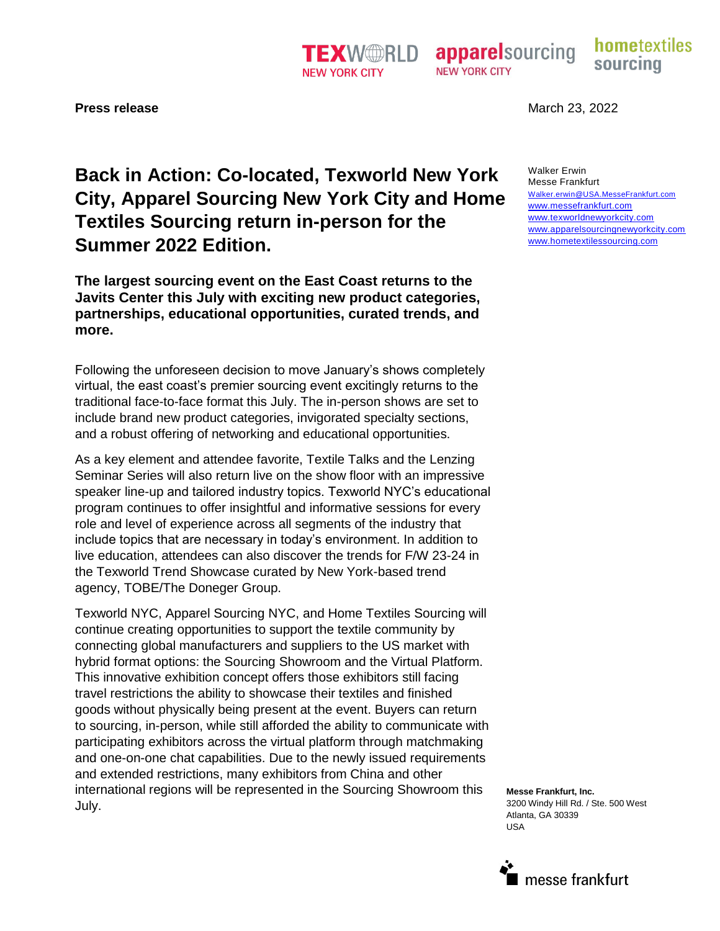# **Back in Action: Co-located, Texworld New York City, Apparel Sourcing New York City and Home Textiles Sourcing return in-person for the Summer 2022 Edition.**

**The largest sourcing event on the East Coast returns to the Javits Center this July with exciting new product categories, partnerships, educational opportunities, curated trends, and more.** 

Following the unforeseen decision to move January's shows completely virtual, the east coast's premier sourcing event excitingly returns to the traditional face-to-face format this July. The in-person shows are set to include brand new product categories, invigorated specialty sections, and a robust offering of networking and educational opportunities.

As a key element and attendee favorite, Textile Talks and the Lenzing Seminar Series will also return live on the show floor with an impressive speaker line-up and tailored industry topics. Texworld NYC's educational program continues to offer insightful and informative sessions for every role and level of experience across all segments of the industry that include topics that are necessary in today's environment. In addition to live education, attendees can also discover the trends for F/W 23-24 in the Texworld Trend Showcase curated by New York-based trend agency, TOBE/The Doneger Group.

Texworld NYC, Apparel Sourcing NYC, and Home Textiles Sourcing will continue creating opportunities to support the textile community by connecting global manufacturers and suppliers to the US market with hybrid format options: the Sourcing Showroom and the Virtual Platform. This innovative exhibition concept offers those exhibitors still facing travel restrictions the ability to showcase their textiles and finished goods without physically being present at the event. Buyers can return to sourcing, in-person, while still afforded the ability to communicate with participating exhibitors across the virtual platform through matchmaking and one-on-one chat capabilities. Due to the newly issued requirements and extended restrictions, many exhibitors from China and other international regions will be represented in the Sourcing Showroom this July.

**Press release** March 23, 2022

Walker Erwin Messe Frankfurt Walker.erwin@USA.MesseFrankfurt.com www.messefrankfurt.com www.texworldnewyorkcity.com [www.apparelsourcingnewyorkcity.com](http://www.apparelsourcingnewyorkcity.com/) www.hometextilessourcing.com

**Messe Frankfurt, Inc.** 3200 Windy Hill Rd. / Ste. 500 West Atlanta, GA 30339 USA

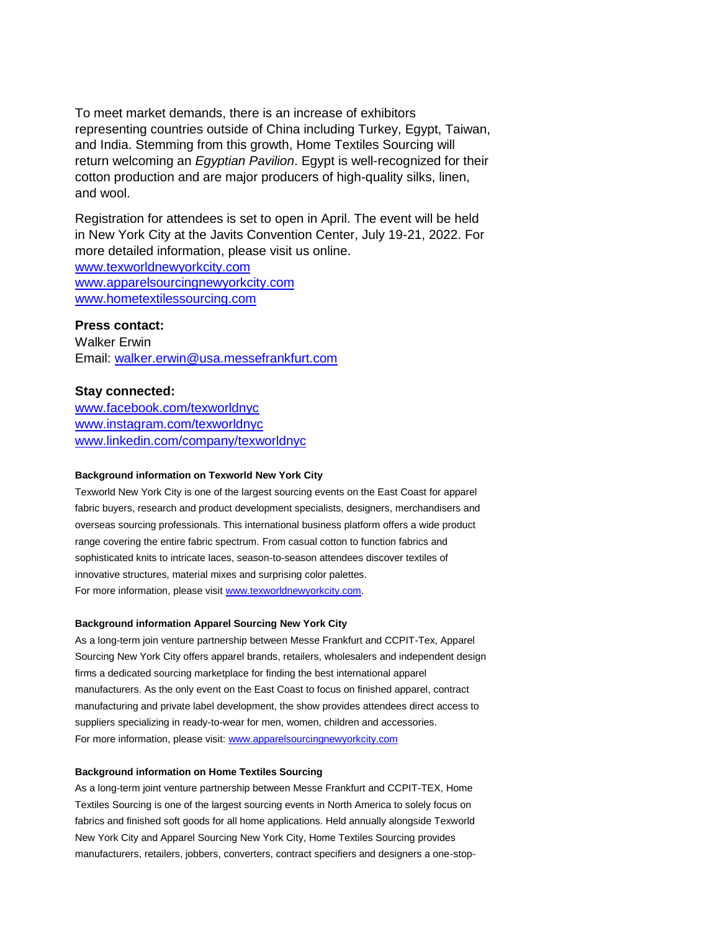To meet market demands, there is an increase of exhibitors representing countries outside of China including Turkey, Egypt, Taiwan, and India. Stemming from this growth, Home Textiles Sourcing will return welcoming an *Egyptian Pavilion*. Egypt is well-recognized for their cotton production and are major producers of high-quality silks, linen, and wool.

Registration for attendees is set to open in April. The event will be held in New York City at the Javits Convention Center, July 19-21, 2022. For more detailed information, please visit us online.

www.texworldnewyorkcity.com [www.apparelsourcingnewyorkcity.com](http://www.apparelsourcingnewyorkcity.com/) www.hometextilessourcing.com

## **Press contact:**

Walker Erwin Email: [walker.erwin@usa.messefrankfurt.com](mailto:walker.erwin@usa.messefrankfurt.com)

# **Stay connected:**

www.facebook.com/texworldnyc www.instagram.com/texworldnyc www.linkedin.com/company/texworldnyc

## **Background information on Texworld New York City**

Texworld New York City is one of the largest sourcing events on the East Coast for apparel fabric buyers, research and product development specialists, designers, merchandisers and overseas sourcing professionals. This international business platform offers a wide product range covering the entire fabric spectrum. From casual cotton to function fabrics and sophisticated knits to intricate laces, season-to-season attendees discover textiles of innovative structures, material mixes and surprising color palettes. For more information, please visit www.texworldnewyorkcity.com.

### **Background information Apparel Sourcing New York City**

As a long-term join venture partnership between Messe Frankfurt and CCPIT-Tex, Apparel Sourcing New York City offers apparel brands, retailers, wholesalers and independent design firms a dedicated sourcing marketplace for finding the best international apparel manufacturers. As the only event on the East Coast to focus on finished apparel, contract manufacturing and private label development, the show provides attendees direct access to suppliers specializing in ready-to-wear for men, women, children and accessories. For more information, please visit: www.apparelsourcingnewyorkcity.com

#### **Background information on Home Textiles Sourcing**

As a long-term joint venture partnership between Messe Frankfurt and CCPIT-TEX, Home Textiles Sourcing is one of the largest sourcing events in North America to solely focus on fabrics and finished soft goods for all home applications. Held annually alongside Texworld New York City and Apparel Sourcing New York City, Home Textiles Sourcing provides manufacturers, retailers, jobbers, converters, contract specifiers and designers a one-stop